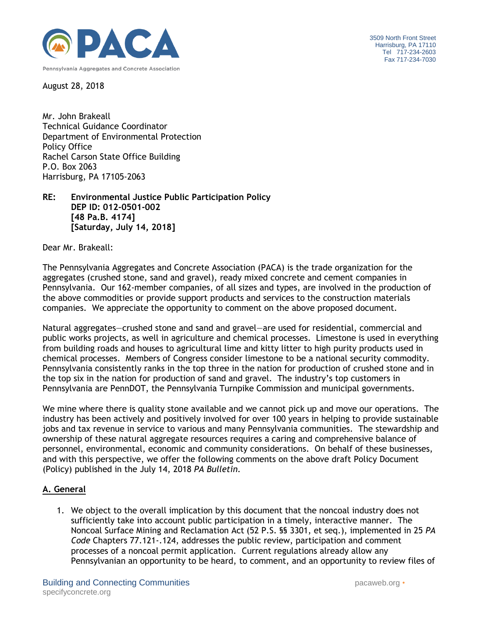

3509 North Front Street Harrisburg, PA 17110 Tel 717-234-2603 Fax 717-234-7030

August 28, 2018

Mr. John Brakeall Technical Guidance Coordinator Department of Environmental Protection Policy Office Rachel Carson State Office Building P.O. Box 2063 Harrisburg, PA 17105-2063

**RE: Environmental Justice Public Participation Policy DEP ID: 012-0501-002 [48 Pa.B. 4174] [Saturday, July 14, 2018]**

Dear Mr. Brakeall:

The Pennsylvania Aggregates and Concrete Association (PACA) is the trade organization for the aggregates (crushed stone, sand and gravel), ready mixed concrete and cement companies in Pennsylvania. Our 162-member companies, of all sizes and types, are involved in the production of the above commodities or provide support products and services to the construction materials companies. We appreciate the opportunity to comment on the above proposed document.

Natural aggregates—crushed stone and sand and gravel—are used for residential, commercial and public works projects, as well in agriculture and chemical processes. Limestone is used in everything from building roads and houses to agricultural lime and kitty litter to high purity products used in chemical processes. Members of Congress consider limestone to be a national security commodity. Pennsylvania consistently ranks in the top three in the nation for production of crushed stone and in the top six in the nation for production of sand and gravel. The industry's top customers in Pennsylvania are PennDOT, the Pennsylvania Turnpike Commission and municipal governments.

We mine where there is quality stone available and we cannot pick up and move our operations. The industry has been actively and positively involved for over 100 years in helping to provide sustainable jobs and tax revenue in service to various and many Pennsylvania communities. The stewardship and ownership of these natural aggregate resources requires a caring and comprehensive balance of personnel, environmental, economic and community considerations. On behalf of these businesses, and with this perspective, we offer the following comments on the above draft Policy Document (Policy) published in the July 14, 2018 *PA Bulletin.* 

# **A. General**

1. We object to the overall implication by this document that the noncoal industry does not sufficiently take into account public participation in a timely, interactive manner. The Noncoal Surface Mining and Reclamation Act (52 P.S. §§ 3301, et seq.), implemented in 25 *PA Code* Chapters 77.121-.124, addresses the public review, participation and comment processes of a noncoal permit application. Current regulations already allow any Pennsylvanian an opportunity to be heard, to comment, and an opportunity to review files of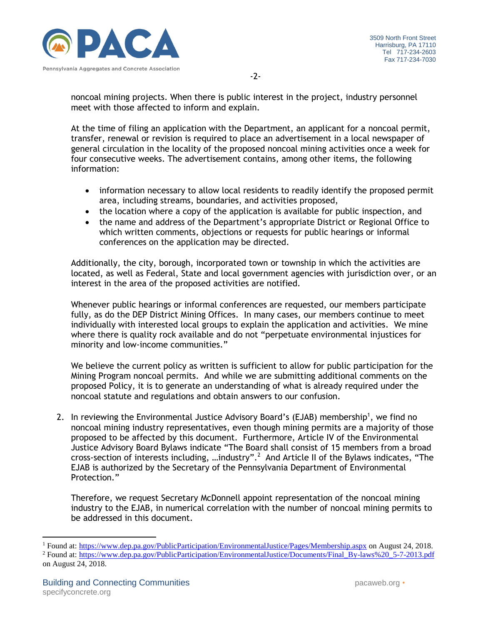

noncoal mining projects. When there is public interest in the project, industry personnel meet with those affected to inform and explain.

At the time of filing an application with the Department, an applicant for a noncoal permit, transfer, renewal or revision is required to place an advertisement in a local newspaper of general circulation in the locality of the proposed noncoal mining activities once a week for four consecutive weeks. The advertisement contains, among other items, the following information:

- information necessary to allow local residents to readily identify the proposed permit area, including streams, boundaries, and activities proposed,
- the location where a copy of the application is available for public inspection, and
- the name and address of the Department's appropriate District or Regional Office to which written comments, objections or requests for public hearings or informal conferences on the application may be directed.

Additionally, the city, borough, incorporated town or township in which the activities are located, as well as Federal, State and local government agencies with jurisdiction over, or an interest in the area of the proposed activities are notified.

Whenever public hearings or informal conferences are requested, our members participate fully, as do the DEP District Mining Offices. In many cases, our members continue to meet individually with interested local groups to explain the application and activities. We mine where there is quality rock available and do not "perpetuate environmental injustices for minority and low-income communities."

We believe the current policy as written is sufficient to allow for public participation for the Mining Program noncoal permits. And while we are submitting additional comments on the proposed Policy, it is to generate an understanding of what is already required under the noncoal statute and regulations and obtain answers to our confusion.

2. In reviewing the Environmental Justice Advisory Board's (EJAB) membership<sup>1</sup>, we find no noncoal mining industry representatives, even though mining permits are a majority of those proposed to be affected by this document. Furthermore, Article IV of the Environmental Justice Advisory Board Bylaws indicate "The Board shall consist of 15 members from a broad cross-section of interests including, ...industry".<sup>2</sup> And Article II of the Bylaws indicates, "The EJAB is authorized by the Secretary of the Pennsylvania Department of Environmental Protection."

Therefore, we request Secretary McDonnell appoint representation of the noncoal mining industry to the EJAB, in numerical correlation with the number of noncoal mining permits to be addressed in this document.

l

<sup>1</sup> Found at:<https://www.dep.pa.gov/PublicParticipation/EnvironmentalJustice/Pages/Membership.aspx> on August 24, 2018.

<sup>2</sup> Found at: [https://www.dep.pa.gov/PublicParticipation/EnvironmentalJustice/Documents/Final\\_By-laws%20\\_5-7-2013.pdf](https://www.dep.pa.gov/PublicParticipation/EnvironmentalJustice/Documents/Final_By-laws%20_5-7-2013.pdf) on August 24, 2018.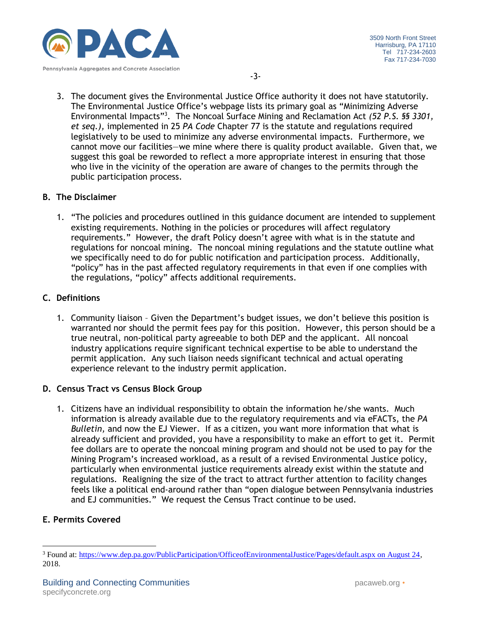

3. The document gives the Environmental Justice Office authority it does not have statutorily. The Environmental Justice Office's webpage lists its primary goal as "Minimizing Adverse Environmental Impacts"<sup>3</sup> . The Noncoal Surface Mining and Reclamation Act *(52 P.S. §§ 3301, et seq.),* implemented in 25 *PA Code* Chapter 77 is the statute and regulations required legislatively to be used to minimize any adverse environmental impacts. Furthermore, we cannot move our facilities—we mine where there is quality product available. Given that, we suggest this goal be reworded to reflect a more appropriate interest in ensuring that those who live in the vicinity of the operation are aware of changes to the permits through the public participation process.

## **B. The Disclaimer**

1. "The policies and procedures outlined in this guidance document are intended to supplement existing requirements. Nothing in the policies or procedures will affect regulatory requirements." However, the draft Policy doesn't agree with what is in the statute and regulations for noncoal mining. The noncoal mining regulations and the statute outline what we specifically need to do for public notification and participation process. Additionally, "policy" has in the past affected regulatory requirements in that even if one complies with the regulations, "policy" affects additional requirements.

## **C. Definitions**

1. Community liaison – Given the Department's budget issues, we don't believe this position is warranted nor should the permit fees pay for this position. However, this person should be a true neutral, non-political party agreeable to both DEP and the applicant. All noncoal industry applications require significant technical expertise to be able to understand the permit application. Any such liaison needs significant technical and actual operating experience relevant to the industry permit application.

# **D. Census Tract vs Census Block Group**

1. Citizens have an individual responsibility to obtain the information he/she wants. Much information is already available due to the regulatory requirements and via eFACTs, the *PA Bulletin,* and now the EJ Viewer. If as a citizen, you want more information that what is already sufficient and provided, you have a responsibility to make an effort to get it. Permit fee dollars are to operate the noncoal mining program and should not be used to pay for the Mining Program's increased workload, as a result of a revised Environmental Justice policy, particularly when environmental justice requirements already exist within the statute and regulations. Realigning the size of the tract to attract further attention to facility changes feels like a political end-around rather than "open dialogue between Pennsylvania industries and EJ communities." We request the Census Tract continue to be used.

# **E. Permits Covered**

l

<sup>3</sup> Found at: [https://www.dep.pa.gov/PublicParticipation/OfficeofEnvironmentalJustice/Pages/default.aspx on August 24,](https://www.dep.pa.gov/PublicParticipation/OfficeofEnvironmentalJustice/Pages/default.aspx%20on%20August%2024) 2018.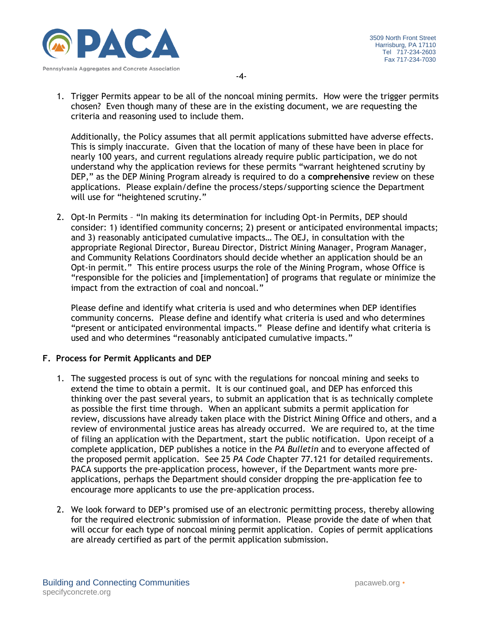

-4-

1. Trigger Permits appear to be all of the noncoal mining permits. How were the trigger permits chosen? Even though many of these are in the existing document, we are requesting the criteria and reasoning used to include them.

Additionally, the Policy assumes that all permit applications submitted have adverse effects. This is simply inaccurate. Given that the location of many of these have been in place for nearly 100 years, and current regulations already require public participation, we do not understand why the application reviews for these permits "warrant heightened scrutiny by DEP," as the DEP Mining Program already is required to do a **comprehensive** review on these applications. Please explain/define the process/steps/supporting science the Department will use for "heightened scrutiny."

2. Opt-In Permits – "In making its determination for including Opt-in Permits, DEP should consider: 1) identified community concerns; 2) present or anticipated environmental impacts; and 3) reasonably anticipated cumulative impacts… The OEJ, in consultation with the appropriate Regional Director, Bureau Director, District Mining Manager, Program Manager, and Community Relations Coordinators should decide whether an application should be an Opt-in permit." This entire process usurps the role of the Mining Program, whose Office is "responsible for the policies and [implementation] of programs that regulate or minimize the impact from the extraction of coal and noncoal."

Please define and identify what criteria is used and who determines when DEP identifies community concerns. Please define and identify what criteria is used and who determines "present or anticipated environmental impacts." Please define and identify what criteria is used and who determines "reasonably anticipated cumulative impacts."

# **F. Process for Permit Applicants and DEP**

- 1. The suggested process is out of sync with the regulations for noncoal mining and seeks to extend the time to obtain a permit. It is our continued goal, and DEP has enforced this thinking over the past several years, to submit an application that is as technically complete as possible the first time through. When an applicant submits a permit application for review, discussions have already taken place with the District Mining Office and others, and a review of environmental justice areas has already occurred. We are required to, at the time of filing an application with the Department, start the public notification. Upon receipt of a complete application, DEP publishes a notice in the *PA Bulletin* and to everyone affected of the proposed permit application. See 25 *PA Code* Chapter 77.121 for detailed requirements. PACA supports the pre-application process, however, if the Department wants more preapplications, perhaps the Department should consider dropping the pre-application fee to encourage more applicants to use the pre-application process.
- 2. We look forward to DEP's promised use of an electronic permitting process, thereby allowing for the required electronic submission of information. Please provide the date of when that will occur for each type of noncoal mining permit application. Copies of permit applications are already certified as part of the permit application submission.